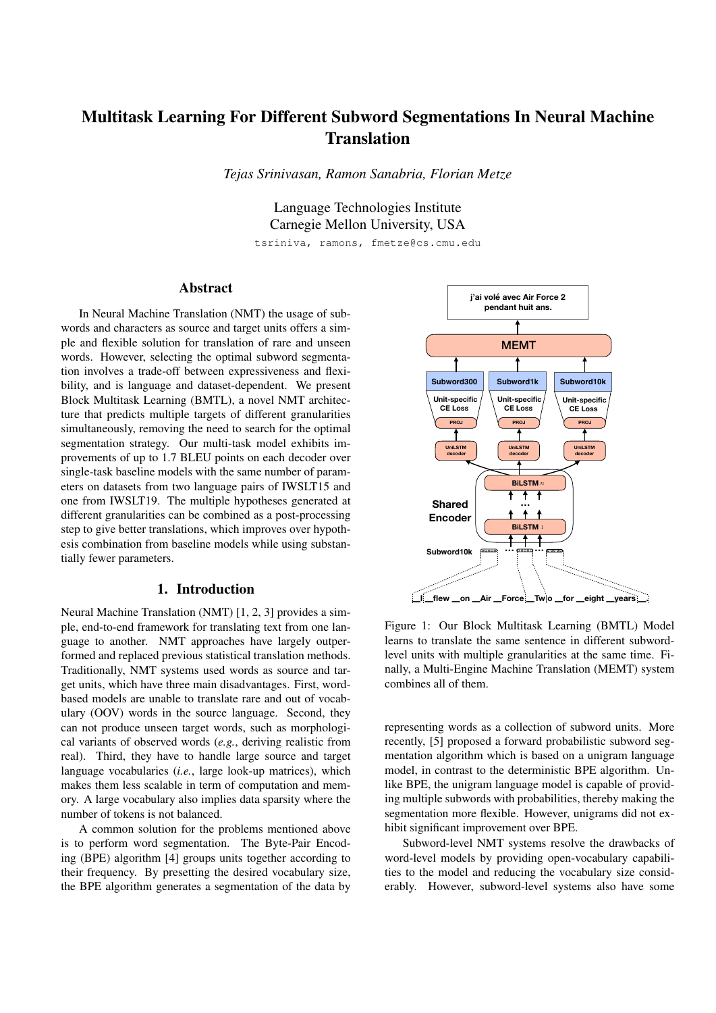# Multitask Learning For Different Subword Segmentations In Neural Machine Translation

*Tejas Srinivasan, Ramon Sanabria, Florian Metze*

Language Technologies Institute Carnegie Mellon University, USA

tsriniva, ramons, fmetze@cs.cmu.edu

# Abstract

In Neural Machine Translation (NMT) the usage of subwords and characters as source and target units offers a simple and flexible solution for translation of rare and unseen words. However, selecting the optimal subword segmentation involves a trade-off between expressiveness and flexibility, and is language and dataset-dependent. We present Block Multitask Learning (BMTL), a novel NMT architecture that predicts multiple targets of different granularities simultaneously, removing the need to search for the optimal segmentation strategy. Our multi-task model exhibits improvements of up to 1.7 BLEU points on each decoder over single-task baseline models with the same number of parameters on datasets from two language pairs of IWSLT15 and one from IWSLT19. The multiple hypotheses generated at different granularities can be combined as a post-processing step to give better translations, which improves over hypothesis combination from baseline models while using substantially fewer parameters.

### 1. Introduction

Neural Machine Translation (NMT) [1, 2, 3] provides a simple, end-to-end framework for translating text from one language to another. NMT approaches have largely outperformed and replaced previous statistical translation methods. Traditionally, NMT systems used words as source and target units, which have three main disadvantages. First, wordbased models are unable to translate rare and out of vocabulary (OOV) words in the source language. Second, they can not produce unseen target words, such as morphological variants of observed words (*e.g.*, deriving realistic from real). Third, they have to handle large source and target language vocabularies (*i.e.*, large look-up matrices), which makes them less scalable in term of computation and memory. A large vocabulary also implies data sparsity where the number of tokens is not balanced.

A common solution for the problems mentioned above is to perform word segmentation. The Byte-Pair Encoding (BPE) algorithm [4] groups units together according to their frequency. By presetting the desired vocabulary size, the BPE algorithm generates a segmentation of the data by



**learns to translate the same sentence in different subword-̂the ̂session**  level units with multiple granularities at the same time. Fi-Figure 1: Our Block Multitask Learning (BMTL) Model nally, a Multi-Engine Machine Translation (MEMT) system combines all of them.

representing words as a collection of subword units. More recently, [5] proposed a forward probabilistic subword segmentation algorithm which is based on a unigram language model, in contrast to the deterministic BPE algorithm. Unlike BPE, the unigram language model is capable of providing multiple subwords with probabilities, thereby making the segmentation more flexible. However, unigrams did not exhibit significant improvement over BPE.

Subword-level NMT systems resolve the drawbacks of word-level models by providing open-vocabulary capabilities to the model and reducing the vocabulary size considerably. However, subword-level systems also have some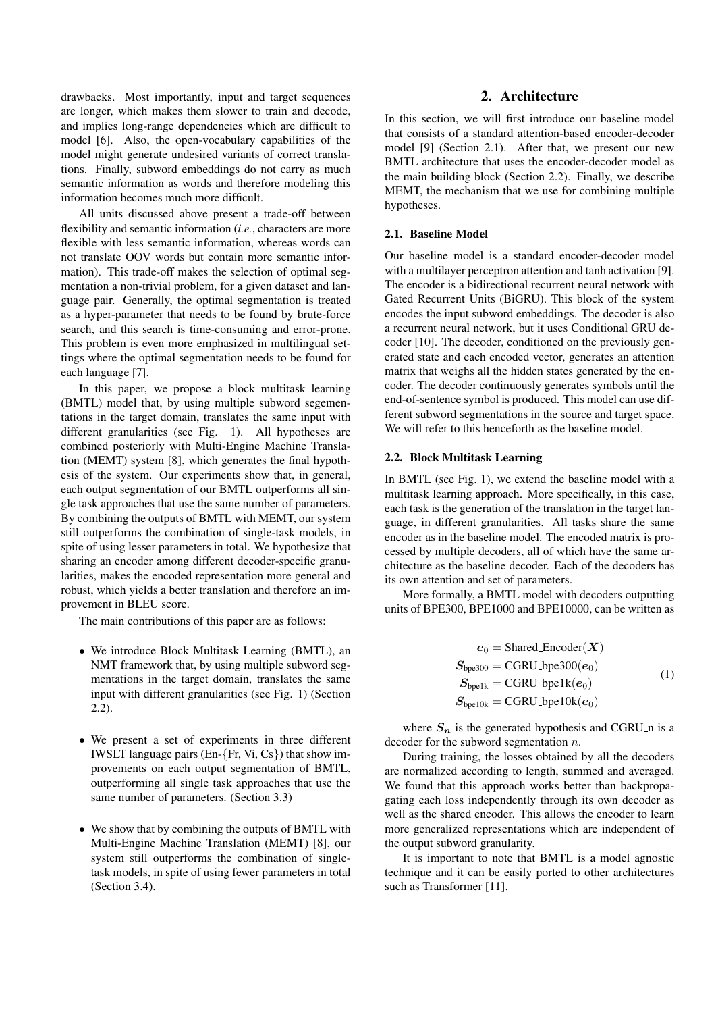drawbacks. Most importantly, input and target sequences are longer, which makes them slower to train and decode, and implies long-range dependencies which are difficult to model [6]. Also, the open-vocabulary capabilities of the model might generate undesired variants of correct translations. Finally, subword embeddings do not carry as much semantic information as words and therefore modeling this information becomes much more difficult.

All units discussed above present a trade-off between flexibility and semantic information (*i.e.*, characters are more flexible with less semantic information, whereas words can not translate OOV words but contain more semantic information). This trade-off makes the selection of optimal segmentation a non-trivial problem, for a given dataset and language pair. Generally, the optimal segmentation is treated as a hyper-parameter that needs to be found by brute-force search, and this search is time-consuming and error-prone. This problem is even more emphasized in multilingual settings where the optimal segmentation needs to be found for each language [7].

In this paper, we propose a block multitask learning (BMTL) model that, by using multiple subword segementations in the target domain, translates the same input with different granularities (see Fig. 1). All hypotheses are combined posteriorly with Multi-Engine Machine Translation (MEMT) system [8], which generates the final hypothesis of the system. Our experiments show that, in general, each output segmentation of our BMTL outperforms all single task approaches that use the same number of parameters. By combining the outputs of BMTL with MEMT, our system still outperforms the combination of single-task models, in spite of using lesser parameters in total. We hypothesize that sharing an encoder among different decoder-specific granularities, makes the encoded representation more general and robust, which yields a better translation and therefore an improvement in BLEU score.

The main contributions of this paper are as follows:

- We introduce Block Multitask Learning (BMTL), an NMT framework that, by using multiple subword segmentations in the target domain, translates the same input with different granularities (see Fig. 1) (Section 2.2).
- We present a set of experiments in three different IWSLT language pairs (En-{Fr, Vi, Cs}) that show improvements on each output segmentation of BMTL, outperforming all single task approaches that use the same number of parameters. (Section 3.3)
- We show that by combining the outputs of BMTL with Multi-Engine Machine Translation (MEMT) [8], our system still outperforms the combination of singletask models, in spite of using fewer parameters in total (Section 3.4).

# 2. Architecture

In this section, we will first introduce our baseline model that consists of a standard attention-based encoder-decoder model [9] (Section 2.1). After that, we present our new BMTL architecture that uses the encoder-decoder model as the main building block (Section 2.2). Finally, we describe MEMT, the mechanism that we use for combining multiple hypotheses.

## 2.1. Baseline Model

Our baseline model is a standard encoder-decoder model with a multilayer perceptron attention and tanh activation [9]. The encoder is a bidirectional recurrent neural network with Gated Recurrent Units (BiGRU). This block of the system encodes the input subword embeddings. The decoder is also a recurrent neural network, but it uses Conditional GRU decoder [10]. The decoder, conditioned on the previously generated state and each encoded vector, generates an attention matrix that weighs all the hidden states generated by the encoder. The decoder continuously generates symbols until the end-of-sentence symbol is produced. This model can use different subword segmentations in the source and target space. We will refer to this henceforth as the baseline model.

#### 2.2. Block Multitask Learning

In BMTL (see Fig. 1), we extend the baseline model with a multitask learning approach. More specifically, in this case, each task is the generation of the translation in the target language, in different granularities. All tasks share the same encoder as in the baseline model. The encoded matrix is processed by multiple decoders, all of which have the same architecture as the baseline decoder. Each of the decoders has its own attention and set of parameters.

More formally, a BMTL model with decoders outputting units of BPE300, BPE1000 and BPE10000, can be written as

$$
e_0 = \text{SharedEncoder}(X)
$$
  
\n
$$
S_{\text{bpe300}} = \text{GRU}\_ \text{bpe300}(e_0)
$$
  
\n
$$
S_{\text{bpe10k}} = \text{GRU}\_ \text{bpe1k}(e_0)
$$
  
\n
$$
S_{\text{bpe10k}} = \text{GRU}\_ \text{bpe10k}(e_0)
$$
  
\n(1)

where  $S_n$  is the generated hypothesis and CGRU n is a decoder for the subword segmentation  $n$ .

During training, the losses obtained by all the decoders are normalized according to length, summed and averaged. We found that this approach works better than backpropagating each loss independently through its own decoder as well as the shared encoder. This allows the encoder to learn more generalized representations which are independent of the output subword granularity.

It is important to note that BMTL is a model agnostic technique and it can be easily ported to other architectures such as Transformer [11].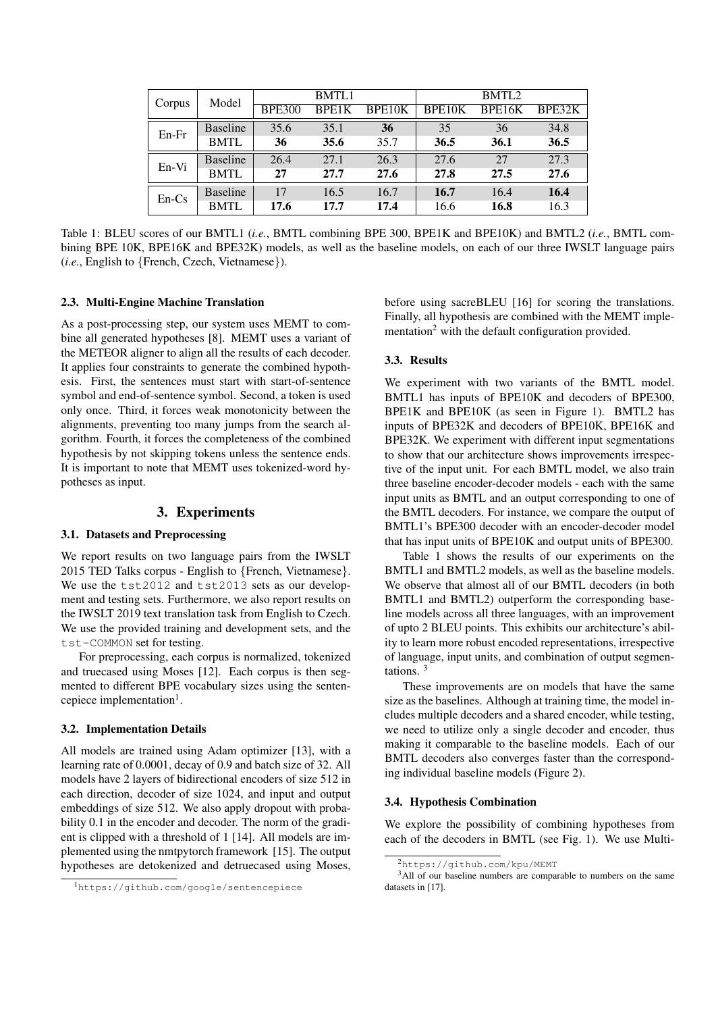| Corpus  | Model           | <b>BMTL1</b>  |       |        | BMTL <sub>2</sub> |        |        |
|---------|-----------------|---------------|-------|--------|-------------------|--------|--------|
|         |                 | <b>BPE300</b> | BPE1K | BPE10K | BPE10K            | BPE16K | BPE32K |
| $En-Fr$ | <b>Baseline</b> | 35.6          | 35.1  | 36     | 35                | 36     | 34.8   |
|         | <b>BMTL</b>     | 36            | 35.6  | 35.7   | 36.5              | 36.1   | 36.5   |
| En-Vi   | <b>Baseline</b> | 26.4          | 27.1  | 26.3   | 27.6              | 27     | 27.3   |
|         | <b>BMTL</b>     | 27            | 27.7  | 27.6   | 27.8              | 27.5   | 27.6   |
| $En-Cs$ | <b>Baseline</b> | 17            | 16.5  | 16.7   | 16.7              | 16.4   | 16.4   |
|         | <b>BMTL</b>     | 17.6          | 17.7  | 17.4   | 16.6              | 16.8   | 16.3   |

Table 1: BLEU scores of our BMTL1 (*i.e.*, BMTL combining BPE 300, BPE1K and BPE10K) and BMTL2 (*i.e.*, BMTL combining BPE 10K, BPE16K and BPE32K) models, as well as the baseline models, on each of our three IWSLT language pairs (*i.e.*, English to {French, Czech, Vietnamese}).

#### 2.3. Multi-Engine Machine Translation

As a post-processing step, our system uses MEMT to combine all generated hypotheses [8]. MEMT uses a variant of the METEOR aligner to align all the results of each decoder. It applies four constraints to generate the combined hypothesis. First, the sentences must start with start-of-sentence symbol and end-of-sentence symbol. Second, a token is used only once. Third, it forces weak monotonicity between the alignments, preventing too many jumps from the search algorithm. Fourth, it forces the completeness of the combined hypothesis by not skipping tokens unless the sentence ends. It is important to note that MEMT uses tokenized-word hypotheses as input.

## 3. Experiments

# 3.1. Datasets and Preprocessing

We report results on two language pairs from the IWSLT 2015 TED Talks corpus - English to {French, Vietnamese}. We use the tst2012 and tst2013 sets as our development and testing sets. Furthermore, we also report results on the IWSLT 2019 text translation task from English to Czech. We use the provided training and development sets, and the tst-COMMON set for testing.

For preprocessing, each corpus is normalized, tokenized and truecased using Moses [12]. Each corpus is then segmented to different BPE vocabulary sizes using the sentencepiece implementation<sup>1</sup>.

### 3.2. Implementation Details

All models are trained using Adam optimizer [13], with a learning rate of 0.0001, decay of 0.9 and batch size of 32. All models have 2 layers of bidirectional encoders of size 512 in each direction, decoder of size 1024, and input and output embeddings of size 512. We also apply dropout with probability 0.1 in the encoder and decoder. The norm of the gradient is clipped with a threshold of 1 [14]. All models are implemented using the nmtpytorch framework [15]. The output hypotheses are detokenized and detruecased using Moses,

before using sacreBLEU [16] for scoring the translations. Finally, all hypothesis are combined with the MEMT implementation<sup>2</sup> with the default configuration provided.

#### 3.3. Results

We experiment with two variants of the BMTL model. BMTL1 has inputs of BPE10K and decoders of BPE300, BPE1K and BPE10K (as seen in Figure 1). BMTL2 has inputs of BPE32K and decoders of BPE10K, BPE16K and BPE32K. We experiment with different input segmentations to show that our architecture shows improvements irrespective of the input unit. For each BMTL model, we also train three baseline encoder-decoder models - each with the same input units as BMTL and an output corresponding to one of the BMTL decoders. For instance, we compare the output of BMTL1's BPE300 decoder with an encoder-decoder model that has input units of BPE10K and output units of BPE300.

Table 1 shows the results of our experiments on the BMTL1 and BMTL2 models, as well as the baseline models. We observe that almost all of our BMTL decoders (in both BMTL1 and BMTL2) outperform the corresponding baseline models across all three languages, with an improvement of upto 2 BLEU points. This exhibits our architecture's ability to learn more robust encoded representations, irrespective of language, input units, and combination of output segmentations. <sup>3</sup>

These improvements are on models that have the same size as the baselines. Although at training time, the model includes multiple decoders and a shared encoder, while testing, we need to utilize only a single decoder and encoder, thus making it comparable to the baseline models. Each of our BMTL decoders also converges faster than the corresponding individual baseline models (Figure 2).

#### 3.4. Hypothesis Combination

We explore the possibility of combining hypotheses from each of the decoders in BMTL (see Fig. 1). We use Multi-

<sup>1</sup>https://github.com/google/sentencepiece

<sup>2</sup>https://github.com/kpu/MEMT

<sup>&</sup>lt;sup>3</sup>All of our baseline numbers are comparable to numbers on the same datasets in [17].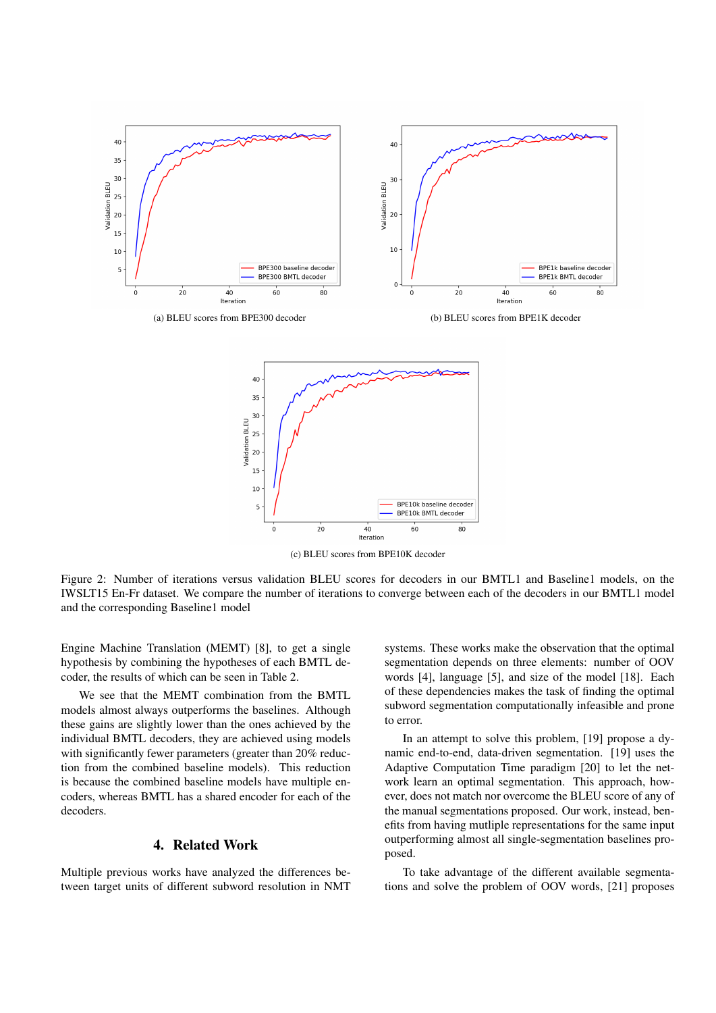



(c) BLEU scores from BPE10K decoder

Figure 2: Number of iterations versus validation BLEU scores for decoders in our BMTL1 and Baseline1 models, on the IWSLT15 En-Fr dataset. We compare the number of iterations to converge between each of the decoders in our BMTL1 model and the corresponding Baseline1 model

Engine Machine Translation (MEMT) [8], to get a single hypothesis by combining the hypotheses of each BMTL decoder, the results of which can be seen in Table 2.

We see that the MEMT combination from the BMTL models almost always outperforms the baselines. Although these gains are slightly lower than the ones achieved by the individual BMTL decoders, they are achieved using models with significantly fewer parameters (greater than 20% reduction from the combined baseline models). This reduction is because the combined baseline models have multiple encoders, whereas BMTL has a shared encoder for each of the decoders.

# 4. Related Work

Multiple previous works have analyzed the differences between target units of different subword resolution in NMT systems. These works make the observation that the optimal segmentation depends on three elements: number of OOV words [4], language [5], and size of the model [18]. Each of these dependencies makes the task of finding the optimal subword segmentation computationally infeasible and prone to error.

In an attempt to solve this problem, [19] propose a dynamic end-to-end, data-driven segmentation. [19] uses the Adaptive Computation Time paradigm [20] to let the network learn an optimal segmentation. This approach, however, does not match nor overcome the BLEU score of any of the manual segmentations proposed. Our work, instead, benefits from having mutliple representations for the same input outperforming almost all single-segmentation baselines proposed.

To take advantage of the different available segmentations and solve the problem of OOV words, [21] proposes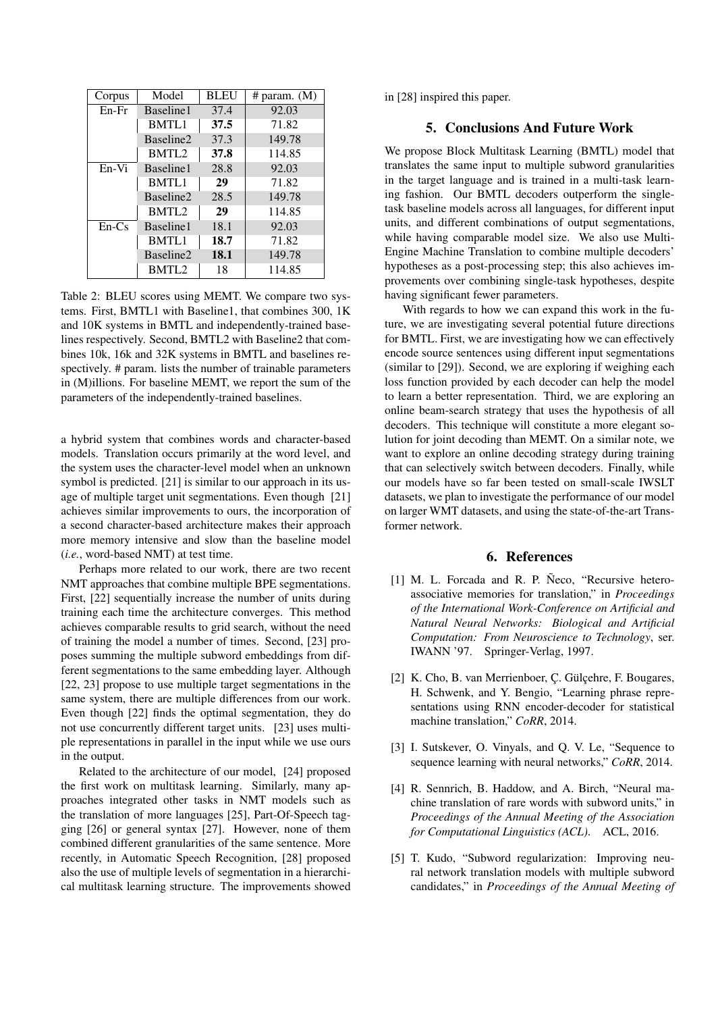| Corpus  | Model             | <b>BLEU</b> | # param. $(M)$ |  |
|---------|-------------------|-------------|----------------|--|
| $En-Fr$ | Baseline1         | 37.4        | 92.03          |  |
|         | <b>BMTL1</b>      | 37.5        | 71.82          |  |
|         | Baseline2         | 37.3        | 149.78         |  |
|         | BMTL <sub>2</sub> | 37.8        | 114.85         |  |
| $En-Vi$ | Baseline1         | 28.8        | 92.03          |  |
|         | <b>BMTL1</b>      | 29          | 71.82          |  |
|         | Baseline2         | 28.5        | 149.78         |  |
|         | BMTL <sub>2</sub> | 29          | 114.85         |  |
| $En-Cs$ | Baseline1         | 18.1        | 92.03          |  |
|         | <b>BMTL1</b>      | 18.7        | 71.82          |  |
|         | Baseline2         | 18.1        | 149.78         |  |
|         | BMTL <sub>2</sub> | 18          | 114.85         |  |

Table 2: BLEU scores using MEMT. We compare two systems. First, BMTL1 with Baseline1, that combines 300, 1K and 10K systems in BMTL and independently-trained baselines respectively. Second, BMTL2 with Baseline2 that combines 10k, 16k and 32K systems in BMTL and baselines respectively. # param. lists the number of trainable parameters in (M)illions. For baseline MEMT, we report the sum of the parameters of the independently-trained baselines.

a hybrid system that combines words and character-based models. Translation occurs primarily at the word level, and the system uses the character-level model when an unknown symbol is predicted. [21] is similar to our approach in its usage of multiple target unit segmentations. Even though [21] achieves similar improvements to ours, the incorporation of a second character-based architecture makes their approach more memory intensive and slow than the baseline model (*i.e.*, word-based NMT) at test time.

Perhaps more related to our work, there are two recent NMT approaches that combine multiple BPE segmentations. First, [22] sequentially increase the number of units during training each time the architecture converges. This method achieves comparable results to grid search, without the need of training the model a number of times. Second, [23] proposes summing the multiple subword embeddings from different segmentations to the same embedding layer. Although [22, 23] propose to use multiple target segmentations in the same system, there are multiple differences from our work. Even though [22] finds the optimal segmentation, they do not use concurrently different target units. [23] uses multiple representations in parallel in the input while we use ours in the output.

Related to the architecture of our model, [24] proposed the first work on multitask learning. Similarly, many approaches integrated other tasks in NMT models such as the translation of more languages [25], Part-Of-Speech tagging [26] or general syntax [27]. However, none of them combined different granularities of the same sentence. More recently, in Automatic Speech Recognition, [28] proposed also the use of multiple levels of segmentation in a hierarchical multitask learning structure. The improvements showed

in [28] inspired this paper.

# 5. Conclusions And Future Work

We propose Block Multitask Learning (BMTL) model that translates the same input to multiple subword granularities in the target language and is trained in a multi-task learning fashion. Our BMTL decoders outperform the singletask baseline models across all languages, for different input units, and different combinations of output segmentations, while having comparable model size. We also use Multi-Engine Machine Translation to combine multiple decoders' hypotheses as a post-processing step; this also achieves improvements over combining single-task hypotheses, despite having significant fewer parameters.

With regards to how we can expand this work in the future, we are investigating several potential future directions for BMTL. First, we are investigating how we can effectively encode source sentences using different input segmentations (similar to [29]). Second, we are exploring if weighing each loss function provided by each decoder can help the model to learn a better representation. Third, we are exploring an online beam-search strategy that uses the hypothesis of all decoders. This technique will constitute a more elegant solution for joint decoding than MEMT. On a similar note, we want to explore an online decoding strategy during training that can selectively switch between decoders. Finally, while our models have so far been tested on small-scale IWSLT datasets, we plan to investigate the performance of our model on larger WMT datasets, and using the state-of-the-art Transformer network.

## 6. References

- [1] M. L. Forcada and R. P. Neco, "Recursive heteroassociative memories for translation," in *Proceedings of the International Work-Conference on Artificial and Natural Neural Networks: Biological and Artificial Computation: From Neuroscience to Technology*, ser. IWANN '97. Springer-Verlag, 1997.
- [2] K. Cho, B. van Merrienboer, C. Gülçehre, F. Bougares, H. Schwenk, and Y. Bengio, "Learning phrase representations using RNN encoder-decoder for statistical machine translation," *CoRR*, 2014.
- [3] I. Sutskever, O. Vinyals, and Q. V. Le, "Sequence to sequence learning with neural networks," *CoRR*, 2014.
- [4] R. Sennrich, B. Haddow, and A. Birch, "Neural machine translation of rare words with subword units," in *Proceedings of the Annual Meeting of the Association for Computational Linguistics (ACL)*. ACL, 2016.
- [5] T. Kudo, "Subword regularization: Improving neural network translation models with multiple subword candidates," in *Proceedings of the Annual Meeting of*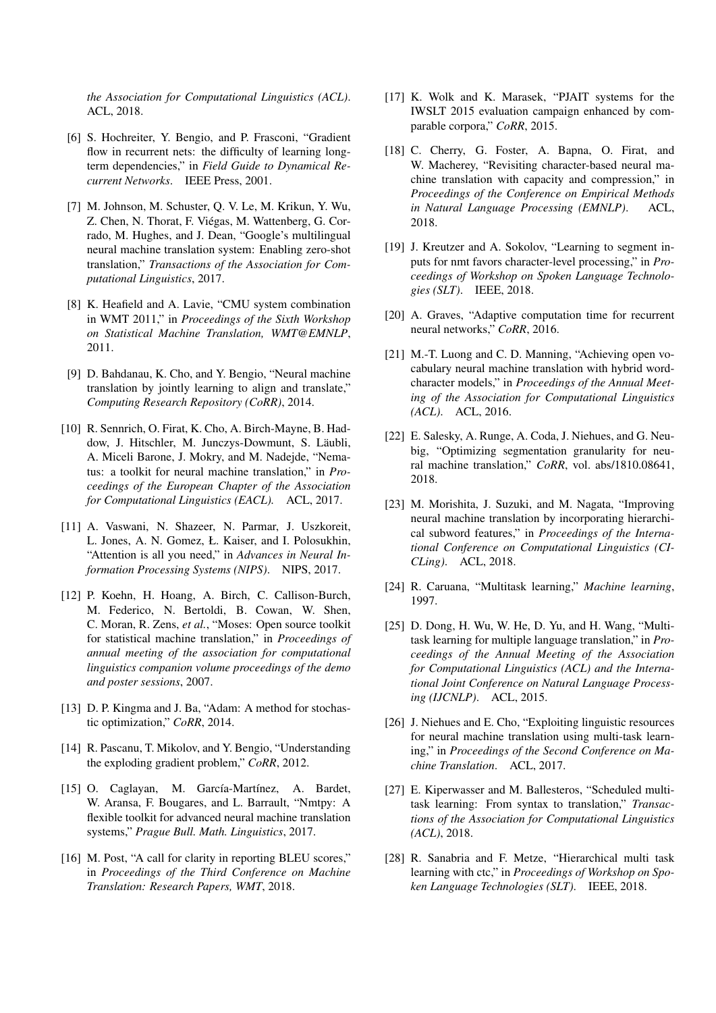*the Association for Computational Linguistics (ACL)*. ACL, 2018.

- [6] S. Hochreiter, Y. Bengio, and P. Frasconi, "Gradient flow in recurrent nets: the difficulty of learning longterm dependencies," in *Field Guide to Dynamical Recurrent Networks*. IEEE Press, 2001.
- [7] M. Johnson, M. Schuster, Q. V. Le, M. Krikun, Y. Wu, Z. Chen, N. Thorat, F. Viegas, M. Wattenberg, G. Cor- ´ rado, M. Hughes, and J. Dean, "Google's multilingual neural machine translation system: Enabling zero-shot translation," *Transactions of the Association for Computational Linguistics*, 2017.
- [8] K. Heafield and A. Lavie, "CMU system combination in WMT 2011," in *Proceedings of the Sixth Workshop on Statistical Machine Translation, WMT@EMNLP*, 2011.
- [9] D. Bahdanau, K. Cho, and Y. Bengio, "Neural machine translation by jointly learning to align and translate," *Computing Research Repository (CoRR)*, 2014.
- [10] R. Sennrich, O. Firat, K. Cho, A. Birch-Mayne, B. Haddow, J. Hitschler, M. Junczys-Dowmunt, S. Läubli, A. Miceli Barone, J. Mokry, and M. Nadejde, "Nematus: a toolkit for neural machine translation," in *Proceedings of the European Chapter of the Association for Computational Linguistics (EACL).* ACL, 2017.
- [11] A. Vaswani, N. Shazeer, N. Parmar, J. Uszkoreit, L. Jones, A. N. Gomez, Ł. Kaiser, and I. Polosukhin, "Attention is all you need," in *Advances in Neural Information Processing Systems (NIPS)*. NIPS, 2017.
- [12] P. Koehn, H. Hoang, A. Birch, C. Callison-Burch, M. Federico, N. Bertoldi, B. Cowan, W. Shen, C. Moran, R. Zens, *et al.*, "Moses: Open source toolkit for statistical machine translation," in *Proceedings of annual meeting of the association for computational linguistics companion volume proceedings of the demo and poster sessions*, 2007.
- [13] D. P. Kingma and J. Ba, "Adam: A method for stochastic optimization," *CoRR*, 2014.
- [14] R. Pascanu, T. Mikolov, and Y. Bengio, "Understanding the exploding gradient problem," *CoRR*, 2012.
- [15] O. Caglayan, M. García-Martínez, A. Bardet, W. Aransa, F. Bougares, and L. Barrault, "Nmtpy: A flexible toolkit for advanced neural machine translation systems," *Prague Bull. Math. Linguistics*, 2017.
- [16] M. Post, "A call for clarity in reporting BLEU scores," in *Proceedings of the Third Conference on Machine Translation: Research Papers, WMT*, 2018.
- [17] K. Wolk and K. Marasek, "PJAIT systems for the IWSLT 2015 evaluation campaign enhanced by comparable corpora," *CoRR*, 2015.
- [18] C. Cherry, G. Foster, A. Bapna, O. Firat, and W. Macherey, "Revisiting character-based neural machine translation with capacity and compression," in *Proceedings of the Conference on Empirical Methods in Natural Language Processing (EMNLP)*. ACL, 2018.
- [19] J. Kreutzer and A. Sokolov, "Learning to segment inputs for nmt favors character-level processing," in *Proceedings of Workshop on Spoken Language Technologies (SLT)*. IEEE, 2018.
- [20] A. Graves, "Adaptive computation time for recurrent neural networks," *CoRR*, 2016.
- [21] M.-T. Luong and C. D. Manning, "Achieving open vocabulary neural machine translation with hybrid wordcharacter models," in *Proceedings of the Annual Meeting of the Association for Computational Linguistics (ACL)*. ACL, 2016.
- [22] E. Salesky, A. Runge, A. Coda, J. Niehues, and G. Neubig, "Optimizing segmentation granularity for neural machine translation," *CoRR*, vol. abs/1810.08641, 2018.
- [23] M. Morishita, J. Suzuki, and M. Nagata, "Improving neural machine translation by incorporating hierarchical subword features," in *Proceedings of the International Conference on Computational Linguistics (CI-CLing)*. ACL, 2018.
- [24] R. Caruana, "Multitask learning," *Machine learning*, 1997.
- [25] D. Dong, H. Wu, W. He, D. Yu, and H. Wang, "Multitask learning for multiple language translation," in *Proceedings of the Annual Meeting of the Association for Computational Linguistics (ACL) and the International Joint Conference on Natural Language Processing (IJCNLP)*. ACL, 2015.
- [26] J. Niehues and E. Cho, "Exploiting linguistic resources for neural machine translation using multi-task learning," in *Proceedings of the Second Conference on Machine Translation*. ACL, 2017.
- [27] E. Kiperwasser and M. Ballesteros, "Scheduled multitask learning: From syntax to translation," *Transactions of the Association for Computational Linguistics (ACL)*, 2018.
- [28] R. Sanabria and F. Metze, "Hierarchical multi task learning with ctc," in *Proceedings of Workshop on Spoken Language Technologies (SLT)*. IEEE, 2018.